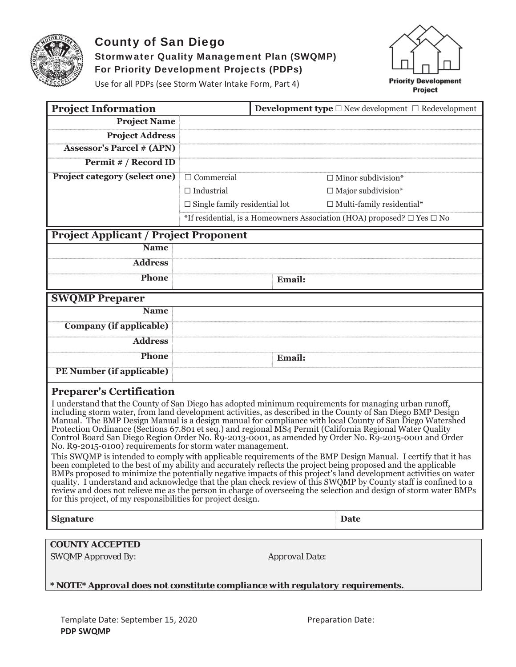

# **County of San Diego Stormwater Quality Management Plan (SWQMP)** For Priority Development Projects (PDPs)



Use for all PDPs (see Storm Water Intake Form, Part 4)

| <b>Project Information</b>                                                                                                                                                                                                                                                                                                                                                                                                                                                                                                                                                                                                                                                                                                                                                                                                                                                                                                                                                                                                                                                                                                                                                                                                                                                           |                                      |                       | <b>Development type</b> $\Box$ New development $\Box$ Redevelopment               |  |  |
|--------------------------------------------------------------------------------------------------------------------------------------------------------------------------------------------------------------------------------------------------------------------------------------------------------------------------------------------------------------------------------------------------------------------------------------------------------------------------------------------------------------------------------------------------------------------------------------------------------------------------------------------------------------------------------------------------------------------------------------------------------------------------------------------------------------------------------------------------------------------------------------------------------------------------------------------------------------------------------------------------------------------------------------------------------------------------------------------------------------------------------------------------------------------------------------------------------------------------------------------------------------------------------------|--------------------------------------|-----------------------|-----------------------------------------------------------------------------------|--|--|
| <b>Project Name</b>                                                                                                                                                                                                                                                                                                                                                                                                                                                                                                                                                                                                                                                                                                                                                                                                                                                                                                                                                                                                                                                                                                                                                                                                                                                                  |                                      |                       |                                                                                   |  |  |
| <b>Project Address</b>                                                                                                                                                                                                                                                                                                                                                                                                                                                                                                                                                                                                                                                                                                                                                                                                                                                                                                                                                                                                                                                                                                                                                                                                                                                               |                                      |                       |                                                                                   |  |  |
| <b>Assessor's Parcel # (APN)</b>                                                                                                                                                                                                                                                                                                                                                                                                                                                                                                                                                                                                                                                                                                                                                                                                                                                                                                                                                                                                                                                                                                                                                                                                                                                     |                                      |                       |                                                                                   |  |  |
| Permit # / Record ID                                                                                                                                                                                                                                                                                                                                                                                                                                                                                                                                                                                                                                                                                                                                                                                                                                                                                                                                                                                                                                                                                                                                                                                                                                                                 |                                      |                       |                                                                                   |  |  |
| <b>Project category (select one)</b>                                                                                                                                                                                                                                                                                                                                                                                                                                                                                                                                                                                                                                                                                                                                                                                                                                                                                                                                                                                                                                                                                                                                                                                                                                                 | $\Box$ Commercial                    |                       | $\Box$ Minor subdivision*                                                         |  |  |
|                                                                                                                                                                                                                                                                                                                                                                                                                                                                                                                                                                                                                                                                                                                                                                                                                                                                                                                                                                                                                                                                                                                                                                                                                                                                                      | $\Box$ Industrial                    |                       | $\Box$ Major subdivision*                                                         |  |  |
|                                                                                                                                                                                                                                                                                                                                                                                                                                                                                                                                                                                                                                                                                                                                                                                                                                                                                                                                                                                                                                                                                                                                                                                                                                                                                      | $\Box$ Single family residential lot |                       | $\Box$ Multi-family residential*                                                  |  |  |
|                                                                                                                                                                                                                                                                                                                                                                                                                                                                                                                                                                                                                                                                                                                                                                                                                                                                                                                                                                                                                                                                                                                                                                                                                                                                                      |                                      |                       | *If residential, is a Homeowners Association (HOA) proposed? $\Box$ Yes $\Box$ No |  |  |
| <b>Project Applicant / Project Proponent</b>                                                                                                                                                                                                                                                                                                                                                                                                                                                                                                                                                                                                                                                                                                                                                                                                                                                                                                                                                                                                                                                                                                                                                                                                                                         |                                      |                       |                                                                                   |  |  |
| <b>Name</b>                                                                                                                                                                                                                                                                                                                                                                                                                                                                                                                                                                                                                                                                                                                                                                                                                                                                                                                                                                                                                                                                                                                                                                                                                                                                          |                                      |                       |                                                                                   |  |  |
| <b>Address</b>                                                                                                                                                                                                                                                                                                                                                                                                                                                                                                                                                                                                                                                                                                                                                                                                                                                                                                                                                                                                                                                                                                                                                                                                                                                                       |                                      |                       |                                                                                   |  |  |
| <b>Phone</b>                                                                                                                                                                                                                                                                                                                                                                                                                                                                                                                                                                                                                                                                                                                                                                                                                                                                                                                                                                                                                                                                                                                                                                                                                                                                         |                                      | Email:                |                                                                                   |  |  |
|                                                                                                                                                                                                                                                                                                                                                                                                                                                                                                                                                                                                                                                                                                                                                                                                                                                                                                                                                                                                                                                                                                                                                                                                                                                                                      |                                      |                       |                                                                                   |  |  |
| <b>SWQMP Preparer</b>                                                                                                                                                                                                                                                                                                                                                                                                                                                                                                                                                                                                                                                                                                                                                                                                                                                                                                                                                                                                                                                                                                                                                                                                                                                                |                                      |                       |                                                                                   |  |  |
| <b>Name</b>                                                                                                                                                                                                                                                                                                                                                                                                                                                                                                                                                                                                                                                                                                                                                                                                                                                                                                                                                                                                                                                                                                                                                                                                                                                                          |                                      |                       |                                                                                   |  |  |
| <b>Company</b> (if applicable)                                                                                                                                                                                                                                                                                                                                                                                                                                                                                                                                                                                                                                                                                                                                                                                                                                                                                                                                                                                                                                                                                                                                                                                                                                                       |                                      |                       |                                                                                   |  |  |
| <b>Address</b>                                                                                                                                                                                                                                                                                                                                                                                                                                                                                                                                                                                                                                                                                                                                                                                                                                                                                                                                                                                                                                                                                                                                                                                                                                                                       |                                      |                       |                                                                                   |  |  |
| <b>Phone</b>                                                                                                                                                                                                                                                                                                                                                                                                                                                                                                                                                                                                                                                                                                                                                                                                                                                                                                                                                                                                                                                                                                                                                                                                                                                                         |                                      | <b>Email:</b>         |                                                                                   |  |  |
| PE Number (if applicable)                                                                                                                                                                                                                                                                                                                                                                                                                                                                                                                                                                                                                                                                                                                                                                                                                                                                                                                                                                                                                                                                                                                                                                                                                                                            |                                      |                       |                                                                                   |  |  |
| <b>Preparer's Certification</b>                                                                                                                                                                                                                                                                                                                                                                                                                                                                                                                                                                                                                                                                                                                                                                                                                                                                                                                                                                                                                                                                                                                                                                                                                                                      |                                      |                       |                                                                                   |  |  |
| I understand that the County of San Diego has adopted minimum requirements for managing urban runoff,<br>including storm water, from land development activities, as described in the County of San Diego BMP Design<br>Manual. The BMP Design Manual is a design manual for compliance with local County of San Diego Watershed<br>Protection Ordinance (Sections 67.801 et seq.) and regional MS4 Permit (California Regional Water Quality<br>Control Board San Diego Region Order No. R9-2013-0001, as amended by Order No. R9-2015-0001 and Order<br>No. R9-2015-0100) requirements for storm water management.<br>This SWQMP is intended to comply with applicable requirements of the BMP Design Manual. I certify that it has<br>been completed to the best of my ability and accurately reflects the project being proposed and the applicable<br>BMPs proposed to minimize the potentially negative impacts of this project's land development activities on water<br>quality. I understand and acknowledge that the plan check review of this SWQMP by County staff is confined to a<br>review and does not relieve me as the person in charge of overseeing the selection and design of storm water BMPs<br>for this project, of my responsibilities for project design. |                                      |                       |                                                                                   |  |  |
| <b>Signature</b>                                                                                                                                                                                                                                                                                                                                                                                                                                                                                                                                                                                                                                                                                                                                                                                                                                                                                                                                                                                                                                                                                                                                                                                                                                                                     |                                      |                       | Date                                                                              |  |  |
| <b>COUNTY ACCEPTED</b><br>SWQMP Approved By:                                                                                                                                                                                                                                                                                                                                                                                                                                                                                                                                                                                                                                                                                                                                                                                                                                                                                                                                                                                                                                                                                                                                                                                                                                         |                                      | <b>Approval Date:</b> |                                                                                   |  |  |

\* NOTE\* Approval does not constitute compliance with regulatory requirements.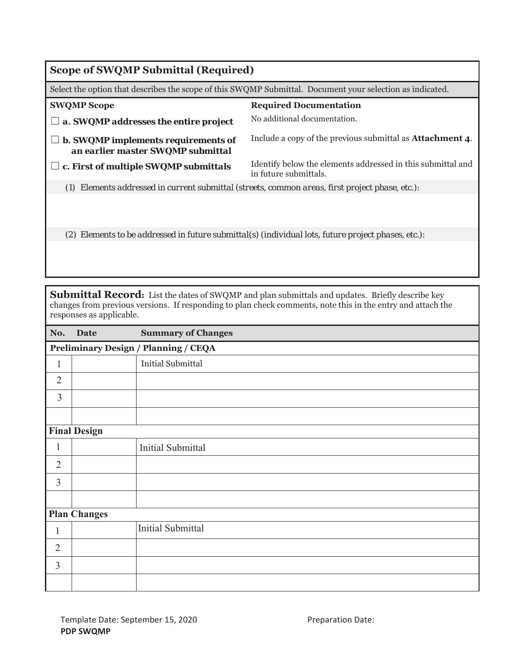| <b>Scope of SWQMP Submittal (Required)</b>                                                                |                                                                                                     |  |  |
|-----------------------------------------------------------------------------------------------------------|-----------------------------------------------------------------------------------------------------|--|--|
| Select the option that describes the scope of this SWQMP Submittal. Document your selection as indicated. |                                                                                                     |  |  |
| <b>SWQMP Scope</b>                                                                                        | <b>Required Documentation</b>                                                                       |  |  |
| a. SWQMP addresses the entire project                                                                     | No additional documentation.                                                                        |  |  |
| <b>b. SWQMP implements requirements of</b><br>an earlier master SWQMP submittal                           | Include a copy of the previous submittal as <b>Attachment 4</b> .                                   |  |  |
| c. First of multiple SWQMP submittals                                                                     | Identify below the elements addressed in this submittal and<br>in future submittals.                |  |  |
| (1) Elements addressed in current submittal (streets, common areas, first project phase, etc.):           |                                                                                                     |  |  |
|                                                                                                           |                                                                                                     |  |  |
|                                                                                                           | (2) Elements to be addressed in future submittal(s) (individual lots, future project phases, etc.): |  |  |
|                                                                                                           |                                                                                                     |  |  |

**Submittal Record:** List the dates of SWQMP and plan submittals and updates. Briefly describe key changes from previous versions. If responding to plan check comments, note this in the entry and attach the responses as applicable.

| No.            | <b>Date</b>         | <b>Summary of Changes</b>                   |
|----------------|---------------------|---------------------------------------------|
|                |                     | <b>Preliminary Design / Planning / CEQA</b> |
| $\mathbf{1}$   |                     | <b>Initial Submittal</b>                    |
| $\overline{2}$ |                     |                                             |
| 3              |                     |                                             |
|                |                     |                                             |
|                | <b>Final Design</b> |                                             |
| 1              |                     | <b>Initial Submittal</b>                    |
| $\overline{2}$ |                     |                                             |
| 3              |                     |                                             |
|                |                     |                                             |
|                | <b>Plan Changes</b> |                                             |
| 1              |                     | <b>Initial Submittal</b>                    |
| $\overline{2}$ |                     |                                             |
| 3              |                     |                                             |
|                |                     |                                             |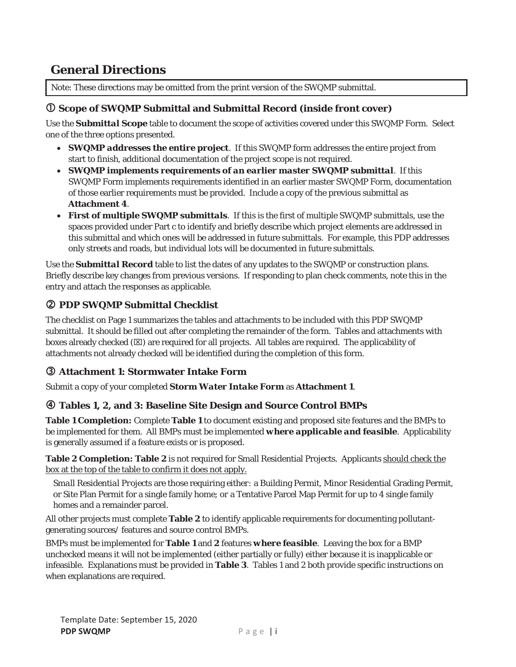# **General Directions**

Note: These directions may be omitted from the print version of the SWQMP submittal.

### c **Scope of SWQMP Submittal and Submittal Record (inside front cover)**

Use the *Submittal Scope* table to document the scope of activities covered under this SWQMP Form. Select one of the three options presented.

- **SWQMP addresses the entire project**. If this SWQMP form addresses the entire project from start to finish, additional documentation of the project scope is not required.
- x *SWQMP implements requirements of an earlier master SWQMP submittal*. If this SWQMP Form implements requirements identified in an earlier master SWQMP Form, documentation of those earlier requirements must be provided. Include a copy of the previous submittal as **Attachment 4**.
- **First of multiple SWQMP submittals**. If this is the first of multiple SWQMP submittals, use the spaces provided under Part c to identify and briefly describe which project elements are addressed in this submittal and which ones will be addressed in future submittals. For example, this PDP addresses only streets and roads, but individual lots will be documented in future submittals.

Use the *Submittal Record* table to list the dates of any updates to the SWQMP or construction plans. Briefly describe key changes from previous versions. If responding to plan check comments, note this in the entry and attach the responses as applicable.

## d **PDP SWQMP Submittal Checklist**

The checklist on Page 1 summarizes the tables and attachments to be included with this PDP SWQMP submittal. It should be filled out after completing the remainder of the form. Tables and attachments with boxes already checked  $(\boxtimes)$  are required for all projects. All tables are required. The applicability of attachments not already checked will be identified during the completion of this form.

## e **Attachment 1: Stormwater Intake Form**

Submit a copy of your completed *Storm Water Intake Form* as **Attachment 1**.

## f **Tables 1, 2, and 3: Baseline Site Design and Source Control BMPs**

**Table 1 Completion:** Complete **Table 1** to document existing and proposed site features and the BMPs to be implemented for them. All BMPs must be implemented *where applicable and feasible*. Applicability is generally assumed if a feature exists or is proposed.

Table 2 Completion: Table 2 is not required for Small Residential Projects. Applicants should check the box at the top of the table to confirm it does not apply.

*Small Residential Projects* are those requiring *either:* a Building Permit, Minor Residential Grading Permit, or Site Plan Permit for a single family home; *or* a Tentative Parcel Map Permit for up to 4 single family homes and a remainder parcel.

All other projects must complete **Table 2** to identify applicable requirements for documenting pollutantgenerating sources/ features and source control BMPs.

BMPs must be implemented for **Table 1** and **2** features *where feasible*. Leaving the box for a BMP unchecked means it will not be implemented (either partially or fully) either because it is inapplicable or infeasible. Explanations must be provided in **Table 3**. Tables 1 and 2 both provide specific instructions on when explanations are required.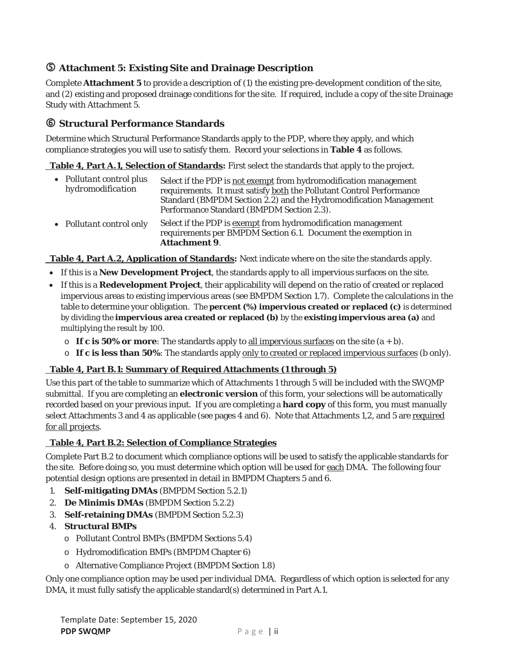## g **Attachment 5: Existing Site and Drainage Description**

Complete **Attachment 5** to provide a description of (1) the existing pre-development condition of the site, and (2) existing and proposed drainage conditions for the site. If required, include a copy of the site Drainage Study with Attachment 5.

### $\circ$  **Structural Performance Standards**

Determine which Structural Performance Standards apply to the PDP, where they apply, and which compliance strategies you will use to satisfy them. Record your selections in **Table 4** as follows.

 **Table 4, Part A.1, Selection of Standards:** First select the standards that apply to the project.

- x *Pollutant control plus Pollutant control plus* Select if the PDP is <u>not exempt</u> from hydromodification management<br>*hydromodification* requirements. It must satisfy <u>both</u> the Pollutant Control Performance Standard (BMPDM Section 2.2) and the Hydromodification Management Performance Standard (BMPDM Section 2.3).
- *Pollutant control only* Select if the PDP is exempt from hydromodification management requirements per BMPDM Section 6.1. Document the exemption in **Attachment 9**.

 **Table 4, Part A.2, Application of Standards:** Next indicate where on the site the standards apply.

- **•** If this is a New Development Project, the standards apply to all impervious surfaces on the site.
- If this is a Redevelopment Project, their applicability will depend on the ratio of created or replaced impervious areas to existing impervious areas (see BMPDM Section 1.7). Complete the calculations in the table to determine your obligation. The **percent (%) impervious created or replaced (c)** is determined by dividing the **impervious area created or replaced (b)** by the **existing impervious area (a)** and multiplying the result by 100.
	- $\circ$  **If c is 50% or more**: The standards apply to all impervious surfaces on the site  $(a + b)$ .
	- o **If c is less than 50%**: The standards apply only to created or replaced impervious surfaces (b only).

#### **Table 4, Part B.1: Summary of Required Attachments (1 through 5)**

Use this part of the table to summarize which of Attachments 1 through 5 will be included with the SWQMP submittal. If you are completing an **electronic version** of this form, your selections will be automatically recorded based on your previous input. If you are completing a **hard copy** of this form, you must manually select Attachments 3 and 4 as applicable (see pages 4 and 6). Note that Attachments 1,2, and 5 are required for all projects.

### **Table 4, Part B.2: Selection of Compliance Strategies**

Complete Part B.2 to document which compliance options will be used to satisfy the applicable standards for the site. Before doing so, you must determine which option will be used for each DMA. The following four potential design options are presented in detail in BMPDM Chapters 5 and 6.

- 1. **Self-mitigating DMAs** (BMPDM Section 5.2.1)
- 2. **De Minimis DMAs** (BMPDM Section 5.2.2)
- 3. **Self-retaining DMAs** (BMPDM Section 5.2.3)
- 4. **Structural BMPs**
	- o Pollutant Control BMPs (BMPDM Sections 5.4)
	- o Hydromodification BMPs (BMPDM Chapter 6)
	- o Alternative Compliance Project (BMPDM Section 1.8)

Only one compliance option may be used per individual DMA. Regardless of which option is selected for any DMA, it must fully satisfy the applicable standard(s) determined in Part A.1.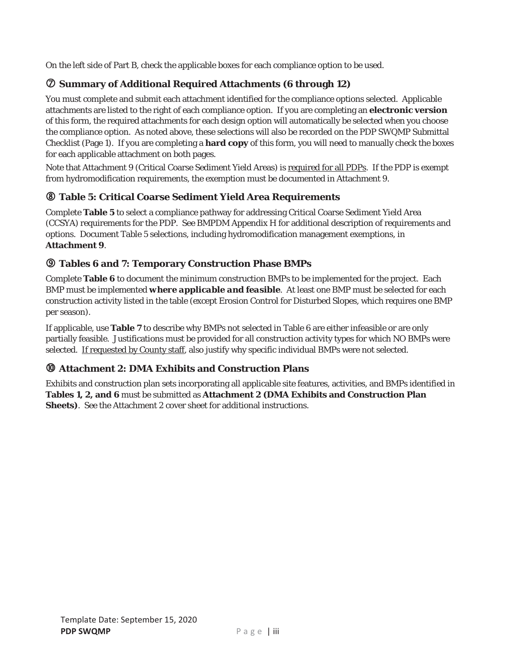On the left side of Part B, check the applicable boxes for each compliance option to be used.

## i **Summary of Additional Required Attachments (6 through 12)**

You must complete and submit each attachment identified for the compliance options selected. Applicable attachments are listed to the right of each compliance option. If you are completing an **electronic version** of this form, the required attachments for each design option will automatically be selected when you choose the compliance option. As noted above, these selections will also be recorded on the PDP SWQMP Submittal Checklist (Page 1). If you are completing a **hard copy** of this form, you will need to manually check the boxes for each applicable attachment on both pages.

Note that Attachment 9 (Critical Coarse Sediment Yield Areas) is required for all PDPs. If the PDP is exempt from hydromodification requirements, the exemption must be documented in Attachment 9.

## j **Table 5: Critical Coarse Sediment Yield Area Requirements**

Complete **Table 5** to select a compliance pathway for addressing Critical Coarse Sediment Yield Area (CCSYA) requirements for the PDP. See BMPDM Appendix H for additional description of requirements and options. Document Table 5 selections, including hydromodification management exemptions, in **Attachment 9**.

## k **Tables 6 and 7: Temporary Construction Phase BMPs**

Complete **Table 6** to document the minimum construction BMPs to be implemented for the project. Each BMP must be implemented *where applicable and feasible*. At least one BMP must be selected for each construction activity listed in the table (except Erosion Control for Disturbed Slopes, which requires one BMP per season).

If applicable, use **Table 7** to describe why BMPs not selected in Table 6 are either infeasible or are only partially feasible. Justifications must be provided for all construction activity types for which NO BMPs were selected. If requested by County staff, also justify why specific individual BMPs were not selected.

## l **Attachment 2: DMA Exhibits and Construction Plans**

Exhibits and construction plan sets incorporating all applicable site features, activities, and BMPs identified in **Tables 1, 2, and 6** must be submitted as **Attachment 2 (DMA Exhibits and Construction Plan Sheets)**. See the Attachment 2 cover sheet for additional instructions.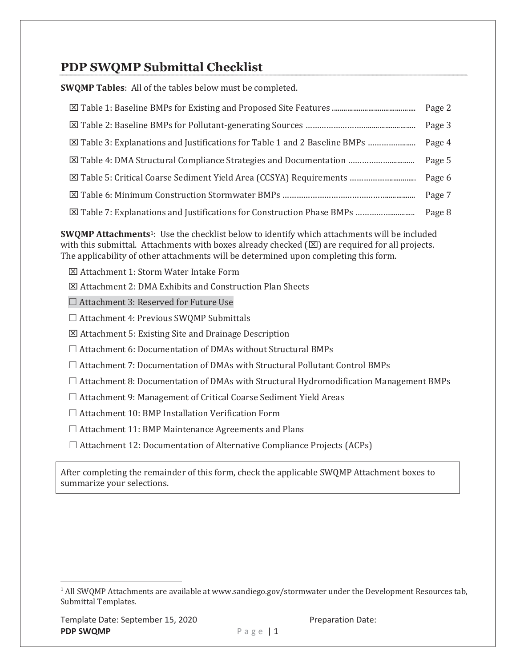# **PDP SWQMP Submittal Checklist**

**SWQMP Tables:** All of the tables below must be completed.

|                                                                             | Page 3 |
|-----------------------------------------------------------------------------|--------|
|                                                                             | Page 4 |
| <b>⊠ Table 4: DMA Structural Compliance Strategies and Documentation </b>   | Page 5 |
| <b>Example 5: Critical Coarse Sediment Yield Area (CCSYA) Requirements </b> | Page 6 |
|                                                                             | Page 7 |
|                                                                             |        |

SWQMP Attachments<sup>1</sup>: Use the checklist below to identify which attachments will be included with this submittal. Attachments with boxes already checked  $(\boxtimes)$  are required for all projects. The applicability of other attachments will be determined upon completing this form.

- ⊠ Attachment 1: Storm Water Intake Form
- $\boxtimes$  Attachment 2: DMA Exhibits and Construction Plan Sheets

 $\Box$  Attachment 3: Reserved for Future Use

 $\Box$  Attachment 4: Previous SWQMP Submittals

- ⊠ Attachment 5: Existing Site and Drainage Description
- $\Box$  Attachment 6: Documentation of DMAs without Structural BMPs
- $\Box$  Attachment 7: Documentation of DMAs with Structural Pollutant Control BMPs
- $\Box$  Attachment 8: Documentation of DMAs with Structural Hydromodification Management BMPs
- $\Box$  Attachment 9: Management of Critical Coarse Sediment Yield Areas
- $\Box$  Attachment 10: BMP Installation Verification Form
- $\Box$  Attachment 11: BMP Maintenance Agreements and Plans
- $\Box$  Attachment 12: Documentation of Alternative Compliance Projects (ACPs)

After completing the remainder of this form, check the applicable SWQMP Attachment boxes to summarize your selections.

Preparation Date:

<sup>&</sup>lt;sup>1</sup> All SWQMP Attachments are available at www.sandiego.gov/stormwater under the Development Resources tab, Submittal Templates.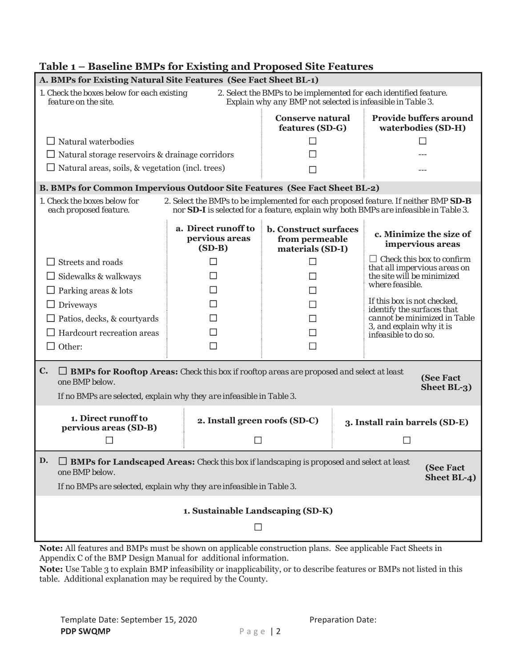|                                                                                                                                                                                                                             | A. BMPs for Existing Natural Site Features (See Fact Sheet BL-1)                                                                                                                                    |                                                                    |                                                            |                                                                                                                                                                             |  |  |  |
|-----------------------------------------------------------------------------------------------------------------------------------------------------------------------------------------------------------------------------|-----------------------------------------------------------------------------------------------------------------------------------------------------------------------------------------------------|--------------------------------------------------------------------|------------------------------------------------------------|-----------------------------------------------------------------------------------------------------------------------------------------------------------------------------|--|--|--|
| 1. Check the boxes below for each existing<br>2. Select the BMPs to be implemented for each identified feature.<br>feature on the site.<br>Explain why any BMP not selected is infeasible in Table 3.                       |                                                                                                                                                                                                     |                                                                    |                                                            |                                                                                                                                                                             |  |  |  |
|                                                                                                                                                                                                                             |                                                                                                                                                                                                     | <b>Conserve natural</b><br>features (SD-G)                         |                                                            | <b>Provide buffers around</b><br>waterbodies (SD-H)                                                                                                                         |  |  |  |
| $\Box$ Natural waterbodies                                                                                                                                                                                                  |                                                                                                                                                                                                     |                                                                    |                                                            |                                                                                                                                                                             |  |  |  |
| $\Box$ Natural storage reservoirs & drainage corridors                                                                                                                                                                      |                                                                                                                                                                                                     |                                                                    |                                                            |                                                                                                                                                                             |  |  |  |
| $\Box$ Natural areas, soils, & vegetation (incl. trees)                                                                                                                                                                     |                                                                                                                                                                                                     | <b>CONTRACT</b>                                                    |                                                            |                                                                                                                                                                             |  |  |  |
| B. BMPs for Common Impervious Outdoor Site Features (See Fact Sheet BL-2)                                                                                                                                                   |                                                                                                                                                                                                     |                                                                    |                                                            |                                                                                                                                                                             |  |  |  |
| 1. Check the boxes below for<br>each proposed feature.                                                                                                                                                                      |                                                                                                                                                                                                     |                                                                    |                                                            | 2. Select the BMPs to be implemented for each proposed feature. If neither BMP SD-B<br>nor SD-I is selected for a feature, explain why both BMPs are infeasible in Table 3. |  |  |  |
|                                                                                                                                                                                                                             | a. Direct runoff to<br>pervious areas<br>$(SD-B)$                                                                                                                                                   | <b>b. Construct surfaces</b><br>from permeable<br>materials (SD-I) |                                                            | c. Minimize the size of<br>impervious areas                                                                                                                                 |  |  |  |
| $\Box$ Streets and roads                                                                                                                                                                                                    |                                                                                                                                                                                                     |                                                                    |                                                            | $\Box$ Check this box to confirm                                                                                                                                            |  |  |  |
| $\Box$ Sidewalks & walkways                                                                                                                                                                                                 |                                                                                                                                                                                                     |                                                                    | that all impervious areas on<br>the site will be minimized |                                                                                                                                                                             |  |  |  |
| $\Box$ Parking areas & lots                                                                                                                                                                                                 |                                                                                                                                                                                                     |                                                                    |                                                            | where feasible.                                                                                                                                                             |  |  |  |
| $\Box$ Driveways                                                                                                                                                                                                            |                                                                                                                                                                                                     |                                                                    |                                                            | If this box is not checked,                                                                                                                                                 |  |  |  |
| $\Box$ Patios, decks, & courty and s                                                                                                                                                                                        |                                                                                                                                                                                                     |                                                                    | identify the surfaces that<br>cannot be minimized in Table |                                                                                                                                                                             |  |  |  |
| $\Box$ Hardcourt recreation areas                                                                                                                                                                                           |                                                                                                                                                                                                     |                                                                    |                                                            | 3, and explain why it is<br>infeasible to do so.                                                                                                                            |  |  |  |
| $\Box$ Other:                                                                                                                                                                                                               |                                                                                                                                                                                                     | Г                                                                  |                                                            |                                                                                                                                                                             |  |  |  |
| $\mathbf{C}$ .<br>one BMP below.                                                                                                                                                                                            | $\Box$ BMPs for Rooftop Areas: Check this box if rooftop areas are proposed and select at least<br>(See Fact<br>Sheet BL-3)<br>If no BMPs are selected, explain why they are infeasible in Table 3. |                                                                    |                                                            |                                                                                                                                                                             |  |  |  |
| 1. Direct runoff to<br>pervious areas (SD-B)                                                                                                                                                                                | 2. Install green roofs (SD-C)                                                                                                                                                                       |                                                                    |                                                            | 3. Install rain barrels (SD-E)                                                                                                                                              |  |  |  |
|                                                                                                                                                                                                                             |                                                                                                                                                                                                     |                                                                    |                                                            |                                                                                                                                                                             |  |  |  |
| D.<br>$\Box$ BMPs for Landscaped Areas: Check this box if landscaping is proposed and select at least<br>(See Fact<br>one BMP below.<br>Sheet BL-4)<br>If no BMPs are selected, explain why they are infeasible in Table 3. |                                                                                                                                                                                                     |                                                                    |                                                            |                                                                                                                                                                             |  |  |  |
| 1. Sustainable Landscaping (SD-K)<br>$\Box$                                                                                                                                                                                 |                                                                                                                                                                                                     |                                                                    |                                                            |                                                                                                                                                                             |  |  |  |

## Table 1 - Baseline BMPs for Existing and Proposed Site Features

Note: All features and BMPs must be shown on applicable construction plans. See applicable Fact Sheets in Appendix C of the BMP Design Manual for additional information.

Note: Use Table 3 to explain BMP infeasibility or inapplicability, or to describe features or BMPs not listed in this table. Additional explanation may be required by the County.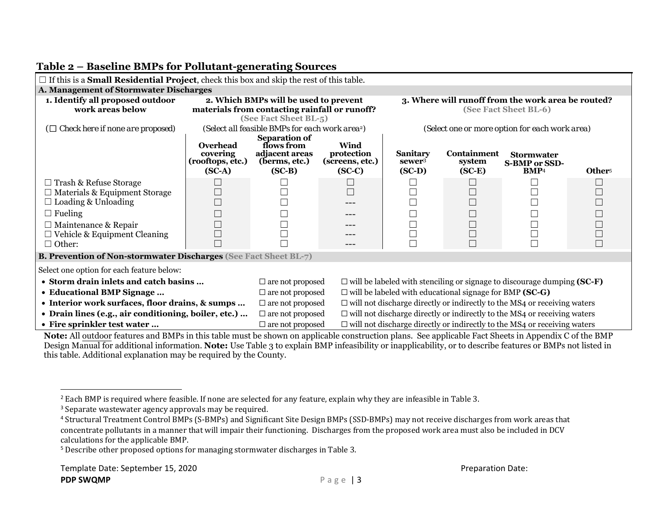| $\Box$ If this is a <b>Small Residential Project</b> , check this box and skip the rest of this table. |                                                     |                                                                                                                 |                                                  |                                                                                 |                                        |                                                                                 |                    |  |  |
|--------------------------------------------------------------------------------------------------------|-----------------------------------------------------|-----------------------------------------------------------------------------------------------------------------|--------------------------------------------------|---------------------------------------------------------------------------------|----------------------------------------|---------------------------------------------------------------------------------|--------------------|--|--|
| A. Management of Stormwater Discharges                                                                 |                                                     |                                                                                                                 |                                                  |                                                                                 |                                        |                                                                                 |                    |  |  |
| 1. Identify all proposed outdoor<br>work areas below                                                   |                                                     | 2. Which BMPs will be used to prevent<br>materials from contacting rainfall or runoff?<br>(See Fact Sheet BL-5) |                                                  | 3. Where will runoff from the work area be routed?<br>(See Fact Sheet BL-6)     |                                        |                                                                                 |                    |  |  |
| $(\Box$ Check here if none are proposed)                                                               |                                                     | (Select all feasible BMPs for each work area <sup>2</sup> )                                                     |                                                  | (Select one or more option for each work area)                                  |                                        |                                                                                 |                    |  |  |
|                                                                                                        | Overhead<br>covering<br>(rooftops, etc.)<br>$SC-A)$ | <b>Separation of</b><br>flows from<br>adjacent areas<br>(berms, etc.)<br>$(SC-B)$                               | Wind<br>protection<br>(screens, etc.)<br>$SC-C)$ | <b>Sanitary</b><br>sewer <sup>3</sup><br>$(SC-D)$                               | <b>Containment</b><br>system<br>$SC-E$ | <b>Stormwater</b><br><b>S-BMP or SSD-</b><br><b>BMP4</b>                        | Other <sup>5</sup> |  |  |
| $\Box$ Trash & Refuse Storage<br>$\Box$ Materials & Equipment Storage<br>$\Box$ Loading & Unloading    |                                                     |                                                                                                                 | $\Box$                                           |                                                                                 | $\Box$<br>$\Box$                       |                                                                                 |                    |  |  |
| $\Box$ Fueling<br>$\Box$ Maintenance & Repair<br>$\Box$ Vehicle & Equipment Cleaning<br>$\Box$ Other:  |                                                     |                                                                                                                 | ---                                              |                                                                                 | $\Box$<br>$\Box$<br>$\Box$             |                                                                                 |                    |  |  |
| <b>B. Prevention of Non-stormwater Discharges (See Fact Sheet BL-7)</b>                                |                                                     |                                                                                                                 |                                                  |                                                                                 |                                        |                                                                                 |                    |  |  |
| Select one option for each feature below:                                                              |                                                     |                                                                                                                 |                                                  |                                                                                 |                                        |                                                                                 |                    |  |  |
| • Storm drain inlets and catch basins                                                                  |                                                     | $\Box$ are not proposed                                                                                         |                                                  |                                                                                 |                                        | $\Box$ will be labeled with stenciling or signage to discourage dumping (SC-F)  |                    |  |  |
| • Educational BMP Signage                                                                              |                                                     | $\Box$ are not proposed                                                                                         |                                                  | $\Box$ will be labeled with educational signage for BMP (SC-G)                  |                                        |                                                                                 |                    |  |  |
| • Interior work surfaces, floor drains, & sumps                                                        |                                                     | $\Box$ are not proposed                                                                                         |                                                  | $\Box$ will not discharge directly or indirectly to the MS4 or receiving waters |                                        |                                                                                 |                    |  |  |
| • Drain lines (e.g., air conditioning, boiler, etc.)                                                   |                                                     | $\Box$ are not proposed                                                                                         |                                                  | $\Box$ will not discharge directly or indirectly to the MS4 or receiving waters |                                        |                                                                                 |                    |  |  |
| • Fire sprinkler test water                                                                            |                                                     | $\Box$ are not proposed                                                                                         |                                                  |                                                                                 |                                        | $\Box$ will not discharge directly or indirectly to the MS4 or receiving waters |                    |  |  |

#### **Table 2 – Baseline BMPs for Pollutant-generating Sources**

**Note:** All outdoor features and BMPs in this table must be shown on applicable construction plans. See applicable Fact Sheets in Appendix C of the BMP Design Manual for additional information. **Note:** Use Table 3 to explain BMP infeasibility or inapplicability, or to describe features or BMPs not listed in this table. Additional explanation may be required by the County.

 $^2$  Each BMP is required where feasible. If none are selected for any feature, explain why they are infeasible in Table 3.

<sup>&</sup>lt;sup>3</sup> Separate wastewater agency approvals may be required.

 $^4$  Structural Treatment Control BMPs (S-BMPs) and Significant Site Design BMPs (SSD-BMPs) may not receive discharges from work areas that concentrate pollutants in a manner that will impair their functioning. Discharges from the proposed work area must also be included in DCV calculations for the applicable BMP.

<sup>&</sup>lt;sup>5</sup> Describe other proposed options for managing stormwater discharges in Table 3.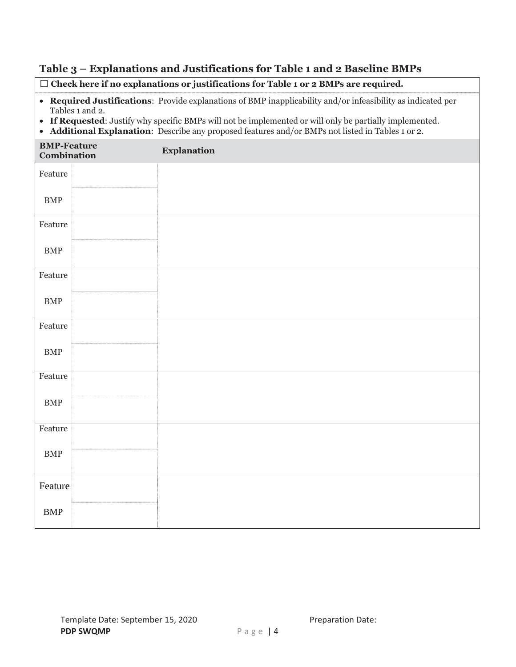# Table 3 - Explanations and Justifications for Table 1 and 2 Baseline BMPs

|                                          |                                                                                                                                                                                                                                                                                                                                              | $\Box$ Check here if no explanations or justifications for Table 1 or 2 BMPs are required. |  |  |  |  |
|------------------------------------------|----------------------------------------------------------------------------------------------------------------------------------------------------------------------------------------------------------------------------------------------------------------------------------------------------------------------------------------------|--------------------------------------------------------------------------------------------|--|--|--|--|
| $\bullet$                                | • Required Justifications: Provide explanations of BMP inapplicability and/or infeasibility as indicated per<br>Tables 1 and 2.<br>If Requested: Justify why specific BMPs will not be implemented or will only be partially implemented.<br>Additional Explanation: Describe any proposed features and/or BMPs not listed in Tables 1 or 2. |                                                                                            |  |  |  |  |
| <b>BMP-Feature</b><br><b>Combination</b> |                                                                                                                                                                                                                                                                                                                                              | <b>Explanation</b>                                                                         |  |  |  |  |
| Feature                                  |                                                                                                                                                                                                                                                                                                                                              |                                                                                            |  |  |  |  |
| <b>BMP</b>                               |                                                                                                                                                                                                                                                                                                                                              |                                                                                            |  |  |  |  |
| Feature                                  |                                                                                                                                                                                                                                                                                                                                              |                                                                                            |  |  |  |  |
| <b>BMP</b>                               |                                                                                                                                                                                                                                                                                                                                              |                                                                                            |  |  |  |  |
| Feature                                  |                                                                                                                                                                                                                                                                                                                                              |                                                                                            |  |  |  |  |
| <b>BMP</b>                               |                                                                                                                                                                                                                                                                                                                                              |                                                                                            |  |  |  |  |
| Feature                                  |                                                                                                                                                                                                                                                                                                                                              |                                                                                            |  |  |  |  |
| <b>BMP</b>                               |                                                                                                                                                                                                                                                                                                                                              |                                                                                            |  |  |  |  |
| Feature                                  |                                                                                                                                                                                                                                                                                                                                              |                                                                                            |  |  |  |  |
| <b>BMP</b>                               |                                                                                                                                                                                                                                                                                                                                              |                                                                                            |  |  |  |  |
| Feature                                  |                                                                                                                                                                                                                                                                                                                                              |                                                                                            |  |  |  |  |
| ${\rm BMP}$                              |                                                                                                                                                                                                                                                                                                                                              |                                                                                            |  |  |  |  |
| Feature                                  |                                                                                                                                                                                                                                                                                                                                              |                                                                                            |  |  |  |  |
| <b>BMP</b>                               |                                                                                                                                                                                                                                                                                                                                              |                                                                                            |  |  |  |  |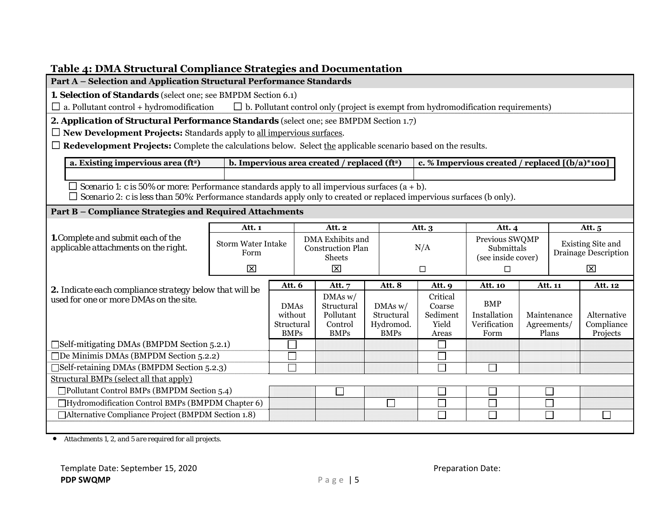| Table 4: DMA Structural Compliance Strategies and Documentation                                                                                                                                                                      |                                   |                        |                  |                                                          |  |                       |                    |                                                                                          |         |                                                  |              |
|--------------------------------------------------------------------------------------------------------------------------------------------------------------------------------------------------------------------------------------|-----------------------------------|------------------------|------------------|----------------------------------------------------------|--|-----------------------|--------------------|------------------------------------------------------------------------------------------|---------|--------------------------------------------------|--------------|
| Part A - Selection and Application Structural Performance Standards                                                                                                                                                                  |                                   |                        |                  |                                                          |  |                       |                    |                                                                                          |         |                                                  |              |
| 1. Selection of Standards (select one; see BMPDM Section 6.1)                                                                                                                                                                        |                                   |                        |                  |                                                          |  |                       |                    |                                                                                          |         |                                                  |              |
| $\Box$ a. Pollutant control + hydromodification                                                                                                                                                                                      |                                   |                        |                  |                                                          |  |                       |                    | $\Box$ b. Pollutant control only (project is exempt from hydromodification requirements) |         |                                                  |              |
| 2. Application of Structural Performance Standards (select one; see BMPDM Section 1.7)                                                                                                                                               |                                   |                        |                  |                                                          |  |                       |                    |                                                                                          |         |                                                  |              |
| $\Box$ New Development Projects: Standards apply to all impervious surfaces.                                                                                                                                                         |                                   |                        |                  |                                                          |  |                       |                    |                                                                                          |         |                                                  |              |
| $\Box$ Redevelopment Projects: Complete the calculations below. Select the applicable scenario based on the results.                                                                                                                 |                                   |                        |                  |                                                          |  |                       |                    |                                                                                          |         |                                                  |              |
| a. Existing impervious area (ft <sup>2</sup> )                                                                                                                                                                                       |                                   |                        |                  | b. Impervious area created / replaced (ft <sup>2</sup> ) |  |                       |                    | c. % Impervious created / replaced $[(b/a)*100]$                                         |         |                                                  |              |
|                                                                                                                                                                                                                                      |                                   |                        |                  |                                                          |  |                       |                    |                                                                                          |         |                                                  |              |
| $\Box$ Scenario 1: c is 50% or more: Performance standards apply to all impervious surfaces (a + b).<br>$\Box$ Scenario 2: c is less than 50%: Performance standards apply only to created or replaced impervious surfaces (b only). |                                   |                        |                  |                                                          |  |                       |                    |                                                                                          |         |                                                  |              |
| Part B - Compliance Strategies and Required Attachments                                                                                                                                                                              |                                   |                        |                  |                                                          |  |                       |                    |                                                                                          |         |                                                  |              |
|                                                                                                                                                                                                                                      | Att. 1                            |                        |                  | Att. 2                                                   |  |                       | Att. 3             | Att. 4                                                                                   |         |                                                  | Att. 5       |
| 1. Complete and submit each of the                                                                                                                                                                                                   |                                   |                        |                  | DMA Exhibits and                                         |  |                       | Previous SWQMP     |                                                                                          |         |                                                  |              |
| applicable attachments on the right.                                                                                                                                                                                                 | <b>Storm Water Intake</b><br>Form |                        |                  | <b>Construction Plan</b>                                 |  | N/A                   | Submittals         |                                                                                          |         | Existing Site and<br><b>Drainage Description</b> |              |
|                                                                                                                                                                                                                                      |                                   |                        | Sheets           |                                                          |  |                       |                    | (see inside cover)                                                                       |         |                                                  |              |
|                                                                                                                                                                                                                                      | $\overline{\mathbf{x}}$           |                        |                  | $\boxtimes$                                              |  |                       | $\Box$             | $\Box$                                                                                   |         |                                                  | $\mathbf{x}$ |
| 2. Indicate each compliance strategy below that will be                                                                                                                                                                              |                                   |                        | Att. 6<br>Att. 7 |                                                          |  | Att. 8                | Att. 9             | <b>Att. 10</b>                                                                           | Att. 11 |                                                  | Att. 12      |
| used for one or more DMAs on the site.                                                                                                                                                                                               |                                   |                        |                  | DMAs w/                                                  |  | Critical              |                    | <b>BMP</b>                                                                               |         |                                                  |              |
|                                                                                                                                                                                                                                      |                                   | <b>DMAs</b><br>without |                  | Structural<br>Pollutant                                  |  | DMAs w/<br>Structural | Coarse<br>Sediment | Installation                                                                             |         | Maintenance                                      | Alternative  |
|                                                                                                                                                                                                                                      |                                   | Structural             |                  | Control                                                  |  | Hydromod.             | Yield              | Verification                                                                             |         | Agreements/                                      | Compliance   |
|                                                                                                                                                                                                                                      |                                   | <b>BMPs</b>            |                  | <b>BMPs</b>                                              |  | <b>BMPs</b>           | Areas              | Form                                                                                     |         | Plans                                            | Projects     |
| $\Box$ Self-mitigating DMAs (BMPDM Section 5.2.1)                                                                                                                                                                                    |                                   |                        |                  |                                                          |  |                       |                    |                                                                                          |         |                                                  |              |
| $\Box$ De Minimis DMAs (BMPDM Section 5.2.2)                                                                                                                                                                                         |                                   |                        |                  |                                                          |  |                       | $\Box$             |                                                                                          |         |                                                  |              |
| □Self-retaining DMAs (BMPDM Section 5.2.3)                                                                                                                                                                                           |                                   |                        |                  |                                                          |  |                       | $\overline{\Box}$  |                                                                                          |         |                                                  |              |
| Structural BMPs (select all that apply)                                                                                                                                                                                              |                                   |                        |                  |                                                          |  |                       |                    |                                                                                          |         |                                                  |              |
| $\Box$ Pollutant Control BMPs (BMPDM Section 5.4)                                                                                                                                                                                    |                                   |                        |                  |                                                          |  |                       |                    |                                                                                          |         | ⊔                                                |              |
| □Hydromodification Control BMPs (BMPDM Chapter 6)<br>$\Box$<br>$\Box$<br>$\mathcal{L}_{\mathcal{A}}$<br>$\Box$<br>$\Box$<br>□ Alternative Compliance Project (BMPDM Section 1.8)                                                     |                                   |                        |                  |                                                          |  |                       |                    |                                                                                          |         |                                                  |              |
|                                                                                                                                                                                                                                      |                                   |                        |                  |                                                          |  |                       |                    |                                                                                          |         |                                                  |              |
|                                                                                                                                                                                                                                      |                                   |                        |                  |                                                          |  |                       |                    |                                                                                          |         |                                                  |              |

• *Attachments 1, 2, and 5 are required for all projects.*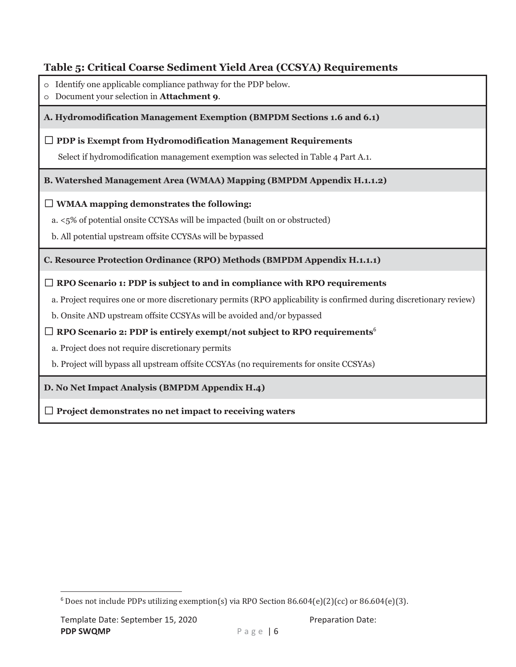## Table 5: Critical Coarse Sediment Yield Area (CCSYA) Requirements

- o Identify one applicable compliance pathway for the PDP below.
- o Document your selection in Attachment 9.

#### A. Hydromodification Management Exemption (BMPDM Sections 1.6 and 6.1)

#### $\Box$  PDP is Exempt from Hydromodification Management Requirements

Select if hydromodification management exemption was selected in Table 4 Part A.1.

#### **B. Watershed Management Area (WMAA) Mapping (BMPDM Appendix H.1.1.2)**

#### $\Box$  WMAA mapping demonstrates the following:

a. <5% of potential onsite CCYSAs will be impacted (built on or obstructed)

b. All potential upstream offsite CCYSAs will be bypassed

#### C. Resource Protection Ordinance (RPO) Methods (BMPDM Appendix H.1.1.1)

### $\Box$  RPO Scenario 1: PDP is subject to and in compliance with RPO requirements

a. Project requires one or more discretionary permits (RPO applicability is confirmed during discretionary review)

b. Onsite AND upstream offsite CCSYAs will be avoided and/or bypassed

#### $\Box$  RPO Scenario 2: PDP is entirely exempt/not subject to RPO requirements<sup>6</sup>

a. Project does not require discretionary permits

b. Project will bypass all upstream offsite CCSYAs (no requirements for onsite CCSYAs)

#### D. No Net Impact Analysis (BMPDM Appendix H.4)

 $\Box$  Project demonstrates no net impact to receiving waters

 $6$  Does not include PDPs utilizing exemption(s) via RPO Section 86.604(e)(2)(cc) or 86.604(e)(3).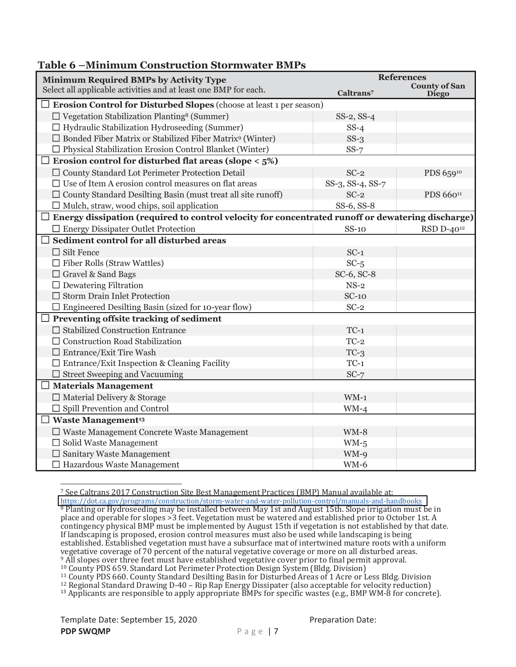| мишицин соцын аснон экогигисег эмп з<br><b>Minimum Required BMPs by Activity Type</b>                                                                         | <b>References</b>          |                        |  |  |
|---------------------------------------------------------------------------------------------------------------------------------------------------------------|----------------------------|------------------------|--|--|
| Select all applicable activities and at least one BMP for each.                                                                                               | Caltrans <sup>7</sup>      | <b>County of San</b>   |  |  |
| $\Box$ Erosion Control for Disturbed Slopes (choose at least 1 per season)                                                                                    |                            | <b>Diego</b>           |  |  |
| $\Box$ Vegetation Stabilization Planting <sup>8</sup> (Summer)                                                                                                | $SS-2$ , $SS-4$            |                        |  |  |
| $\Box$ Hydraulic Stabilization Hydroseeding (Summer)                                                                                                          | $SS-4$                     |                        |  |  |
| $\Box$ Bonded Fiber Matrix or Stabilized Fiber Matrix <sup>9</sup> (Winter)                                                                                   | $SS-3$                     |                        |  |  |
| $\Box$ Physical Stabilization Erosion Control Blanket (Winter)                                                                                                | $SS-7$                     |                        |  |  |
| Erosion control for disturbed flat areas (slope $\langle 5\% \rangle$                                                                                         |                            |                        |  |  |
| □ County Standard Lot Perimeter Protection Detail                                                                                                             | $SC-2$                     |                        |  |  |
| $\Box$ Use of Item A erosion control measures on flat areas                                                                                                   |                            | PDS 65910              |  |  |
|                                                                                                                                                               | SS-3, SS-4, SS-7<br>$SC-2$ | PDS 66011              |  |  |
| $\Box$ County Standard Desilting Basin (must treat all site runoff)                                                                                           | SS-6, SS-8                 |                        |  |  |
| $\Box$ Mulch, straw, wood chips, soil application<br>$\Box$ Energy dissipation (required to control velocity for concentrated runoff or dewatering discharge) |                            |                        |  |  |
|                                                                                                                                                               |                            |                        |  |  |
| $\Box$ Energy Dissipater Outlet Protection<br>Sediment control for all disturbed areas                                                                        | $SS-10$                    | RSD D-40 <sup>12</sup> |  |  |
|                                                                                                                                                               |                            |                        |  |  |
| $\Box$ Silt Fence                                                                                                                                             | $SC-1$                     |                        |  |  |
| $\Box$ Fiber Rolls (Straw Wattles)                                                                                                                            | $SC-5$                     |                        |  |  |
| $\Box$ Gravel & Sand Bags                                                                                                                                     | SC-6, SC-8                 |                        |  |  |
| $\Box$ Dewatering Filtration                                                                                                                                  | $NS-2$                     |                        |  |  |
| $\Box$ Storm Drain Inlet Protection                                                                                                                           | $SC-10$                    |                        |  |  |
| $\Box$ Engineered Desilting Basin (sized for 10-year flow)                                                                                                    | $SC-2$                     |                        |  |  |
| Preventing offsite tracking of sediment                                                                                                                       |                            |                        |  |  |
| $\Box$ Stabilized Construction Entrance                                                                                                                       | $TC-1$                     |                        |  |  |
| $\Box$ Construction Road Stabilization                                                                                                                        | $TC-2$                     |                        |  |  |
| $\Box$ Entrance/Exit Tire Wash                                                                                                                                | $TC-3$                     |                        |  |  |
| $\Box$ Entrance/Exit Inspection & Cleaning Facility                                                                                                           | $TC-1$                     |                        |  |  |
| $\Box$ Street Sweeping and Vacuuming                                                                                                                          | $SC-7$                     |                        |  |  |
| $\Box$ Materials Management                                                                                                                                   |                            |                        |  |  |
| $\Box$ Material Delivery & Storage                                                                                                                            | $WM-1$                     |                        |  |  |
| $\Box$ Spill Prevention and Control                                                                                                                           | $WM-4$                     |                        |  |  |
| $\Box$ Waste Management <sup>13</sup>                                                                                                                         |                            |                        |  |  |
| $\Box$ Waste Management Concrete Waste Management                                                                                                             | $WM-8$                     |                        |  |  |
| $\Box$ Solid Waste Management                                                                                                                                 | $WM-5$                     |                        |  |  |
| $\Box$ Sanitary Waste Management                                                                                                                              | WM-9                       |                        |  |  |
| $\Box$ Hazardous Waste Management                                                                                                                             | $WM-6$                     |                        |  |  |

Table 6 - Minimum Construction Stormwater BMPs

7 See Caltrans 2017 Construction Site Best Management Practices (BMP) Manual available at: https://dot.ca.gov/programs/construction/storm-water-and-water-pollution-control/manuals-and-handbooks <sup>8</sup> Planting or Hydroseeding may be installed between May 1st and August 15th. Slope irrigation must be in place and operable for slopes >3 feet. Vegetation must be watered and established prior to October 1st. A contingency physical BMP must be implemented by August 15th if vegetation is not established by that date. If landscaping is proposed, erosion control measures must also be used while landscaping is being established. Established vegetation must have a subsurface mat of intertwined mature roots with a uniform vegetative coverage of 70 percent of the natural vegetative coverage or more on all disturbed areas. % All slopes over three feet must have established vegetative cover prior to final permit approval.

<sup>10</sup> County PDS 659. Standard Lot Perimeter Protection Design System (Bldg. Division)

<sup>11</sup> County PDS 660. County Standard Desilting Basin for Disturbed Areas of 1 Acre or Less Bldg. Division

<sup>13</sup> Applicants are responsible to apply appropriate BMPs for specific wastes (e.g., BMP WM-8 for concrete).

 $12$  Regional Standard Drawing D-40 - Rip Rap Energy Dissipater (also acceptable for velocity reduction)